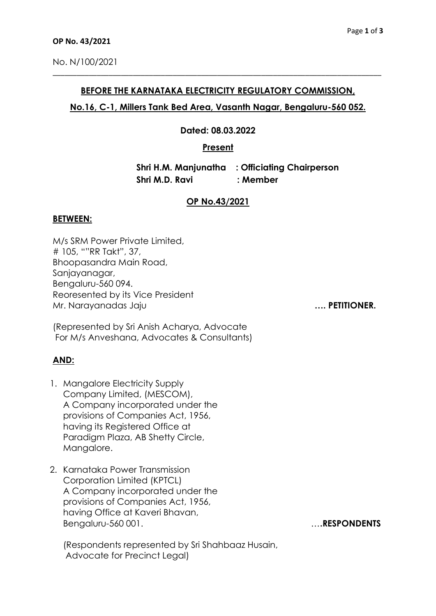### **BEFORE THE KARNATAKA ELECTRICITY REGULATORY COMMISSION,**

\_\_\_\_\_\_\_\_\_\_\_\_\_\_\_\_\_\_\_\_\_\_\_\_\_\_\_\_\_\_\_\_\_\_\_\_\_\_\_\_\_\_\_\_\_\_\_\_\_\_\_\_\_\_\_\_\_\_\_\_\_\_\_\_\_\_\_\_\_\_\_\_\_\_\_\_\_\_\_\_\_\_

# **No.16, C-1, Millers Tank Bed Area, Vasanth Nagar, Bengaluru-560 052.**

### **Dated: 08.03.2022**

## **Present**

 **Shri H.M. Manjunatha : Officiating Chairperson Shri M.D. Ravi : Member**

# **OP No.43/2021**

### **BETWEEN:**

M/s SRM Power Private Limited, # 105, ""RR Takt", 37, Bhoopasandra Main Road, Sanjayanagar, Bengaluru-560 094. Reoresented by its Vice President Mr. Narayanadas Jaju **…. PETITIONER.**

(Represented by Sri Anish Acharya, Advocate For M/s Anveshana, Advocates & Consultants)

# **AND:**

- 1. Mangalore Electricity Supply Company Limited, (MESCOM), A Company incorporated under the provisions of Companies Act, 1956, having its Registered Office at Paradigm Plaza, AB Shetty Circle, Manaalore.
- 2. Karnataka Power Transmission Corporation Limited (KPTCL) A Company incorporated under the provisions of Companies Act, 1956, having Office at Kaveri Bhavan, Bengaluru-560 001.

(Respondents represented by Sri Shahbaaz Husain, Advocate for Precinct Legal)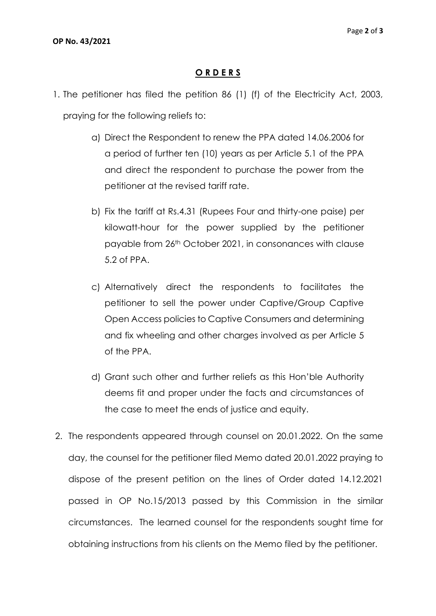# **O R D E R S**

- 1. The petitioner has filed the petition 86 (1) (f) of the Electricity Act, 2003, praying for the following reliefs to:
	- a) Direct the Respondent to renew the PPA dated 14.06.2006 for a period of further ten (10) years as per Article 5.1 of the PPA and direct the respondent to purchase the power from the petitioner at the revised tariff rate.
	- b) Fix the tariff at Rs.4.31 (Rupees Four and thirty-one paise) per kilowatt-hour for the power supplied by the petitioner payable from 26th October 2021, in consonances with clause 5.2 of PPA.
	- c) Alternatively direct the respondents to facilitates the petitioner to sell the power under Captive/Group Captive Open Access policies to Captive Consumers and determining and fix wheeling and other charges involved as per Article 5 of the PPA.
	- d) Grant such other and further reliefs as this Hon'ble Authority deems fit and proper under the facts and circumstances of the case to meet the ends of justice and equity.
- 2. The respondents appeared through counsel on 20.01.2022. On the same day, the counsel for the petitioner filed Memo dated 20.01.2022 praying to dispose of the present petition on the lines of Order dated 14.12.2021 passed in OP No.15/2013 passed by this Commission in the similar circumstances. The learned counsel for the respondents sought time for obtaining instructions from his clients on the Memo filed by the petitioner.